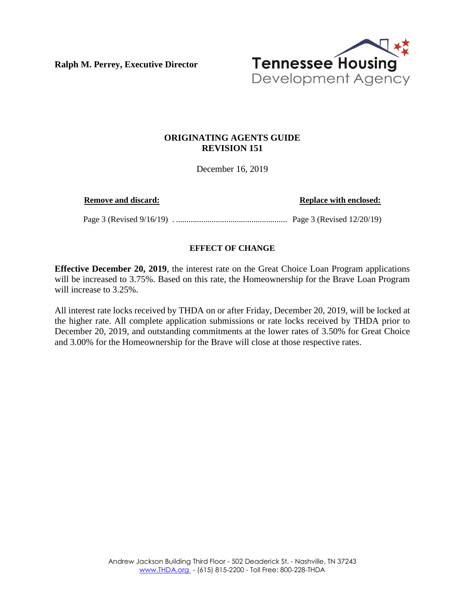**Ralph M. Perrey, Executive Director**



## **ORIGINATING AGENTS GUIDE REVISION 151**

December 16, 2019

**Remove and discard: Replace with enclosed:**

Page 3 (Revised 9/16/19) . ..................................................... Page 3 (Revised 12/20/19)

## **EFFECT OF CHANGE**

**Effective December 20, 2019**, the interest rate on the Great Choice Loan Program applications will be increased to 3.75%. Based on this rate, the Homeownership for the Brave Loan Program will increase to 3.25%.

All interest rate locks received by THDA on or after Friday, December 20, 2019, will be locked at the higher rate. All complete application submissions or rate locks received by THDA prior to December 20, 2019, and outstanding commitments at the lower rates of 3.50% for Great Choice and 3.00% for the Homeownership for the Brave will close at those respective rates.